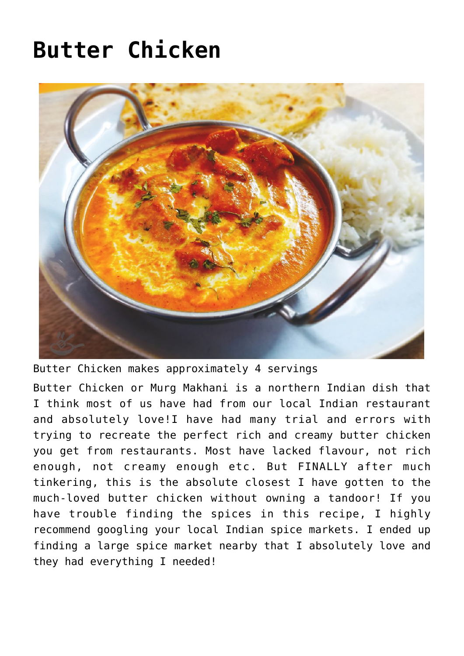## **[Butter Chicken](https://effortless-kitchen.com/2020/07/09/butter-chicken/)**



Butter Chicken makes approximately 4 servings

Butter Chicken or Murg Makhani is a northern Indian dish that I think most of us have had from our local Indian restaurant and absolutely love!I have had many trial and errors with trying to recreate the perfect rich and creamy butter chicken you get from restaurants. Most have lacked flavour, not rich enough, not creamy enough etc. But FINALLY after much tinkering, this is the absolute closest I have gotten to the much-loved butter chicken without owning a [tandoor](https://en.wikipedia.org/wiki/Tandoor)! If you have trouble finding the spices in this recipe, I highly recommend googling your local Indian spice markets. I ended up finding a large spice market nearby that I absolutely love and they had everything I needed!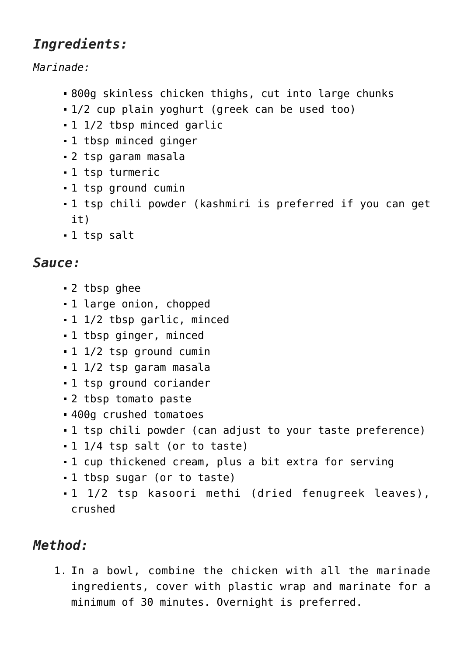## *Ingredients:*

*Marinade:*

- 800g skinless chicken thighs, cut into large chunks
- 1/2 cup plain yoghurt (greek can be used too)
- 1 1/2 tbsp minced garlic
- 1 tbsp minced ginger
- 2 tsp garam masala
- 1 tsp turmeric
- 1 tsp ground cumin
- 1 tsp chili powder (kashmiri is preferred if you can get it)
- 1 tsp salt

## *Sauce:*

- 2 tbsp [ghee](https://effortless-kitchen.com/2017/12/27/homemade-ghee-recipe/)
- 1 large onion, chopped
- 1 1/2 tbsp garlic, minced
- 1 tbsp ginger, minced
- 1 1/2 tsp ground cumin
- 1 1/2 tsp garam masala
- 1 tsp ground coriander
- 2 tbsp tomato paste
- 400g crushed tomatoes
- 1 tsp chili powder (can adjust to your taste preference)
- 1 1/4 tsp salt (or to taste)
- 1 cup thickened cream, plus a bit extra for serving
- 1 tbsp sugar (or to taste)
- 1 1/2 tsp kasoori methi (dried fenugreek leaves), crushed

## *Method:*

1. In a bowl, combine the chicken with all the marinade ingredients, cover with plastic wrap and marinate for a minimum of 30 minutes. Overnight is preferred.